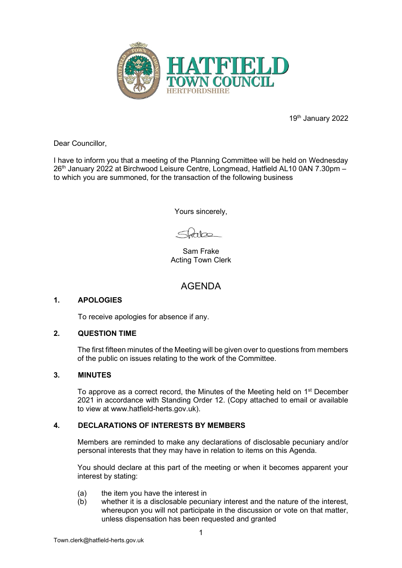

19th January 2022

Dear Councillor,

I have to inform you that a meeting of the Planning Committee will be held on Wednesday 26<sup>th</sup> January 2022 at Birchwood Leisure Centre, Longmead, Hatfield AL10 0AN 7.30pm to which you are summoned, for the transaction of the following business

Yours sincerely,

 $\frac{1}{2}$ 

Sam Frake Acting Town Clerk

# AGENDA

## **1. APOLOGIES**

To receive apologies for absence if any.

## **2. QUESTION TIME**

 The first fifteen minutes of the Meeting will be given over to questions from members of the public on issues relating to the work of the Committee.

### **3. MINUTES**

To approve as a correct record, the Minutes of the Meeting held on 1<sup>st</sup> December 2021 in accordance with Standing Order 12. (Copy attached to email or available to view at www.hatfield-herts.gov.uk).

## **4. DECLARATIONS OF INTERESTS BY MEMBERS**

Members are reminded to make any declarations of disclosable pecuniary and/or personal interests that they may have in relation to items on this Agenda.

You should declare at this part of the meeting or when it becomes apparent your interest by stating:

- (a) the item you have the interest in
- (b) whether it is a disclosable pecuniary interest and the nature of the interest, whereupon you will not participate in the discussion or vote on that matter, unless dispensation has been requested and granted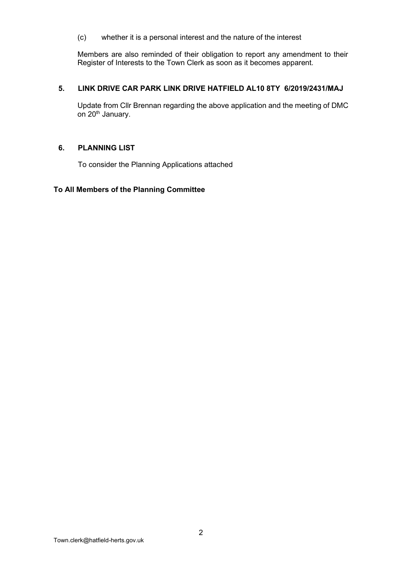(c) whether it is a personal interest and the nature of the interest

Members are also reminded of their obligation to report any amendment to their Register of Interests to the Town Clerk as soon as it becomes apparent.

## **5. LINK DRIVE CAR PARK LINK DRIVE HATFIELD AL10 8TY 6/2019/2431/MAJ**

Update from Cllr Brennan regarding the above application and the meeting of DMC on 20<sup>th</sup> January.

### **6. PLANNING LIST**

To consider the Planning Applications attached

#### **To All Members of the Planning Committee**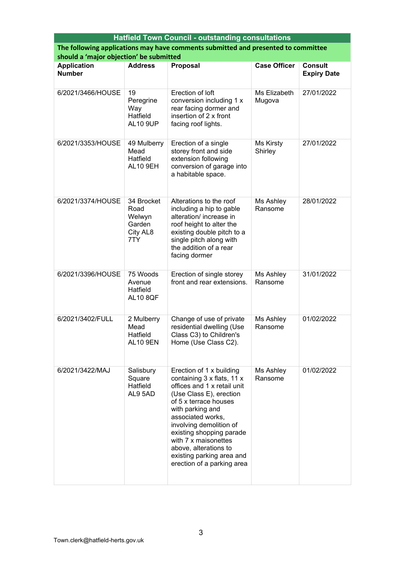| <b>Hatfield Town Council - outstanding consultations</b>                          |                                                           |                                                                                                                                                                                                                                                                                                                                                       |                        |                                      |  |  |  |
|-----------------------------------------------------------------------------------|-----------------------------------------------------------|-------------------------------------------------------------------------------------------------------------------------------------------------------------------------------------------------------------------------------------------------------------------------------------------------------------------------------------------------------|------------------------|--------------------------------------|--|--|--|
| The following applications may have comments submitted and presented to committee |                                                           |                                                                                                                                                                                                                                                                                                                                                       |                        |                                      |  |  |  |
| should a 'major objection' be submitted                                           |                                                           |                                                                                                                                                                                                                                                                                                                                                       |                        |                                      |  |  |  |
| <b>Application</b><br><b>Number</b>                                               | <b>Address</b>                                            | <b>Proposal</b>                                                                                                                                                                                                                                                                                                                                       | <b>Case Officer</b>    | <b>Consult</b><br><b>Expiry Date</b> |  |  |  |
| 6/2021/3466/HOUSE                                                                 | 19<br>Peregrine<br>Way<br>Hatfield<br><b>AL10 9UP</b>     | Erection of loft<br>conversion including 1 x<br>rear facing dormer and<br>insertion of 2 x front<br>facing roof lights.                                                                                                                                                                                                                               | Ms Elizabeth<br>Mugova | 27/01/2022                           |  |  |  |
| 6/2021/3353/HOUSE                                                                 | 49 Mulberry<br>Mead<br>Hatfield<br><b>AL10 9EH</b>        | Erection of a single<br>storey front and side<br>extension following<br>conversion of garage into<br>a habitable space.                                                                                                                                                                                                                               | Ms Kirsty<br>Shirley   | 27/01/2022                           |  |  |  |
| 6/2021/3374/HOUSE                                                                 | 34 Brocket<br>Road<br>Welwyn<br>Garden<br>City AL8<br>7TY | Alterations to the roof<br>including a hip to gable<br>alteration/ increase in<br>roof height to alter the<br>existing double pitch to a<br>single pitch along with<br>the addition of a rear<br>facing dormer                                                                                                                                        | Ms Ashley<br>Ransome   | 28/01/2022                           |  |  |  |
| 6/2021/3396/HOUSE                                                                 | 75 Woods<br>Avenue<br>Hatfield<br><b>AL10 8QF</b>         | Erection of single storey<br>front and rear extensions.                                                                                                                                                                                                                                                                                               | Ms Ashley<br>Ransome   | 31/01/2022                           |  |  |  |
| 6/2021/3402/FULL                                                                  | 2 Mulberry<br>Mead<br>Hatfield<br><b>AL10 9EN</b>         | Change of use of private<br>residential dwelling (Use<br>Class C3) to Children's<br>Home (Use Class C2).                                                                                                                                                                                                                                              | Ms Ashley<br>Ransome   | 01/02/2022                           |  |  |  |
| 6/2021/3422/MAJ                                                                   | Salisbury<br>Square<br>Hatfield<br>AL9 5AD                | Erection of 1 x building<br>containing 3 x flats, 11 x<br>offices and 1 x retail unit<br>(Use Class E), erection<br>of 5 x terrace houses<br>with parking and<br>associated works,<br>involving demolition of<br>existing shopping parade<br>with 7 x maisonettes<br>above, alterations to<br>existing parking area and<br>erection of a parking area | Ms Ashley<br>Ransome   | 01/02/2022                           |  |  |  |